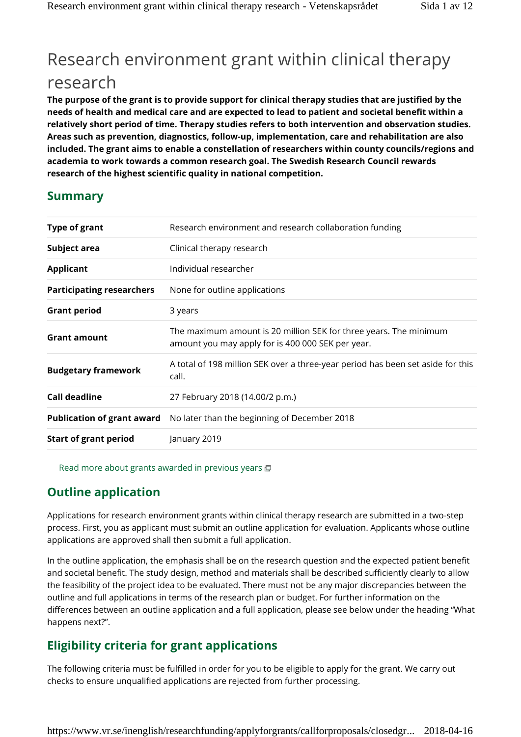# Research environment grant within clinical therapy research

**The purpose of the grant is to provide support for clinical therapy studies that are justified by the needs of health and medical care and are expected to lead to patient and societal benefit within a relatively short period of time. Therapy studies refers to both intervention and observation studies. Areas such as prevention, diagnostics, follow-up, implementation, care and rehabilitation are also included. The grant aims to enable a constellation of researchers within county councils/regions and academia to work towards a common research goal. The Swedish Research Council rewards research of the highest scientific quality in national competition.**

## **Summary**

| <b>Type of grant</b>              | Research environment and research collaboration funding                                                                |
|-----------------------------------|------------------------------------------------------------------------------------------------------------------------|
| Subject area                      | Clinical therapy research                                                                                              |
| <b>Applicant</b>                  | Individual researcher                                                                                                  |
| <b>Participating researchers</b>  | None for outline applications                                                                                          |
| <b>Grant period</b>               | 3 years                                                                                                                |
| <b>Grant amount</b>               | The maximum amount is 20 million SEK for three years. The minimum<br>amount you may apply for is 400 000 SEK per year. |
| <b>Budgetary framework</b>        | A total of 198 million SEK over a three-year period has been set aside for this<br>call.                               |
| Call deadline                     | 27 February 2018 (14.00/2 p.m.)                                                                                        |
| <b>Publication of grant award</b> | No later than the beginning of December 2018                                                                           |
| <b>Start of grant period</b>      | January 2019                                                                                                           |
|                                   |                                                                                                                        |

Read more about grants awarded in previous years

# **Outline application**

Applications for research environment grants within clinical therapy research are submitted in a two-step process. First, you as applicant must submit an outline application for evaluation. Applicants whose outline applications are approved shall then submit a full application.

In the outline application, the emphasis shall be on the research question and the expected patient benefit and societal benefit. The study design, method and materials shall be described sufficiently clearly to allow the feasibility of the project idea to be evaluated. There must not be any major discrepancies between the outline and full applications in terms of the research plan or budget. For further information on the differences between an outline application and a full application, please see below under the heading "What happens next?".

# **Eligibility criteria for grant applications**

The following criteria must be fulfilled in order for you to be eligible to apply for the grant. We carry out checks to ensure unqualified applications are rejected from further processing.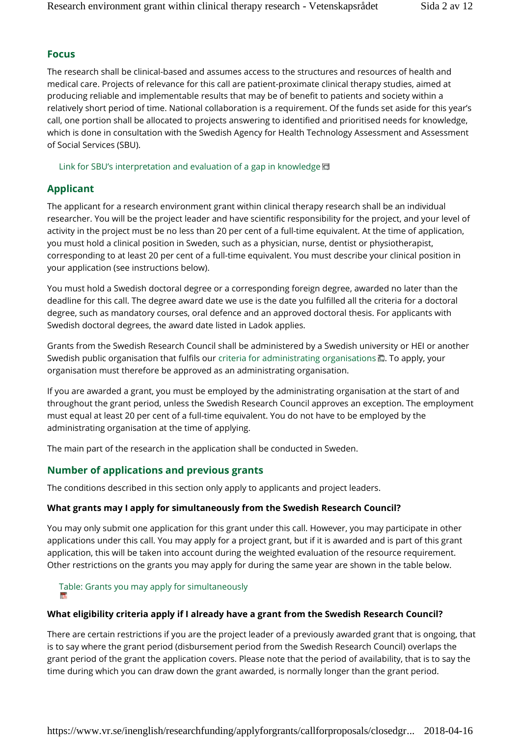### **Focus**

The research shall be clinical-based and assumes access to the structures and resources of health and medical care. Projects of relevance for this call are patient-proximate clinical therapy studies, aimed at producing reliable and implementable results that may be of benefit to patients and society within a relatively short period of time. National collaboration is a requirement. Of the funds set aside for this year's call, one portion shall be allocated to projects answering to identified and prioritised needs for knowledge, which is done in consultation with the Swedish Agency for Health Technology Assessment and Assessment of Social Services (SBU).

Link for SBU's interpretation and evaluation of a gap in knowledge回

## **Applicant**

The applicant for a research environment grant within clinical therapy research shall be an individual researcher. You will be the project leader and have scientific responsibility for the project, and your level of activity in the project must be no less than 20 per cent of a full-time equivalent. At the time of application, you must hold a clinical position in Sweden, such as a physician, nurse, dentist or physiotherapist, corresponding to at least 20 per cent of a full-time equivalent. You must describe your clinical position in your application (see instructions below).

You must hold a Swedish doctoral degree or a corresponding foreign degree, awarded no later than the deadline for this call. The degree award date we use is the date you fulfilled all the criteria for a doctoral degree, such as mandatory courses, oral defence and an approved doctoral thesis. For applicants with Swedish doctoral degrees, the award date listed in Ladok applies.

Grants from the Swedish Research Council shall be administered by a Swedish university or HEI or another Swedish public organisation that fulfils our criteria for administrating organisations  $\blacksquare$ . To apply, your organisation must therefore be approved as an administrating organisation.

If you are awarded a grant, you must be employed by the administrating organisation at the start of and throughout the grant period, unless the Swedish Research Council approves an exception. The employment must equal at least 20 per cent of a full-time equivalent. You do not have to be employed by the administrating organisation at the time of applying.

The main part of the research in the application shall be conducted in Sweden.

## **Number of applications and previous grants**

The conditions described in this section only apply to applicants and project leaders.

#### **What grants may I apply for simultaneously from the Swedish Research Council?**

You may only submit one application for this grant under this call. However, you may participate in other applications under this call. You may apply for a project grant, but if it is awarded and is part of this grant application, this will be taken into account during the weighted evaluation of the resource requirement. Other restrictions on the grants you may apply for during the same year are shown in the table below.

Table: Grants you may apply for simultaneously

#### **What eligibility criteria apply if I already have a grant from the Swedish Research Council?**

There are certain restrictions if you are the project leader of a previously awarded grant that is ongoing, that is to say where the grant period (disbursement period from the Swedish Research Council) overlaps the grant period of the grant the application covers. Please note that the period of availability, that is to say the time during which you can draw down the grant awarded, is normally longer than the grant period.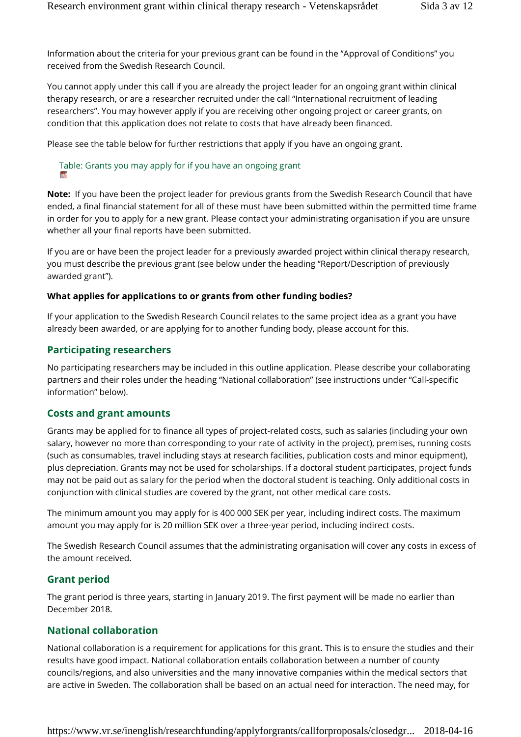Information about the criteria for your previous grant can be found in the "Approval of Conditions" you received from the Swedish Research Council.

You cannot apply under this call if you are already the project leader for an ongoing grant within clinical therapy research, or are a researcher recruited under the call "International recruitment of leading researchers". You may however apply if you are receiving other ongoing project or career grants, on condition that this application does not relate to costs that have already been financed.

Please see the table below for further restrictions that apply if you have an ongoing grant.

# Table: Grants you may apply for if you have an ongoing grant

**Note:** If you have been the project leader for previous grants from the Swedish Research Council that have ended, a final financial statement for all of these must have been submitted within the permitted time frame in order for you to apply for a new grant. Please contact your administrating organisation if you are unsure whether all your final reports have been submitted.

If you are or have been the project leader for a previously awarded project within clinical therapy research, you must describe the previous grant (see below under the heading "Report/Description of previously awarded grant").

### **What applies for applications to or grants from other funding bodies?**

If your application to the Swedish Research Council relates to the same project idea as a grant you have already been awarded, or are applying for to another funding body, please account for this.

## **Participating researchers**

No participating researchers may be included in this outline application. Please describe your collaborating partners and their roles under the heading "National collaboration" (see instructions under "Call-specific information" below).

#### **Costs and grant amounts**

Grants may be applied for to finance all types of project-related costs, such as salaries (including your own salary, however no more than corresponding to your rate of activity in the project), premises, running costs (such as consumables, travel including stays at research facilities, publication costs and minor equipment), plus depreciation. Grants may not be used for scholarships. If a doctoral student participates, project funds may not be paid out as salary for the period when the doctoral student is teaching. Only additional costs in conjunction with clinical studies are covered by the grant, not other medical care costs.

The minimum amount you may apply for is 400 000 SEK per year, including indirect costs. The maximum amount you may apply for is 20 million SEK over a three-year period, including indirect costs.

The Swedish Research Council assumes that the administrating organisation will cover any costs in excess of the amount received.

## **Grant period**

The grant period is three years, starting in January 2019. The first payment will be made no earlier than December 2018.

## **National collaboration**

National collaboration is a requirement for applications for this grant. This is to ensure the studies and their results have good impact. National collaboration entails collaboration between a number of county councils/regions, and also universities and the many innovative companies within the medical sectors that are active in Sweden. The collaboration shall be based on an actual need for interaction. The need may, for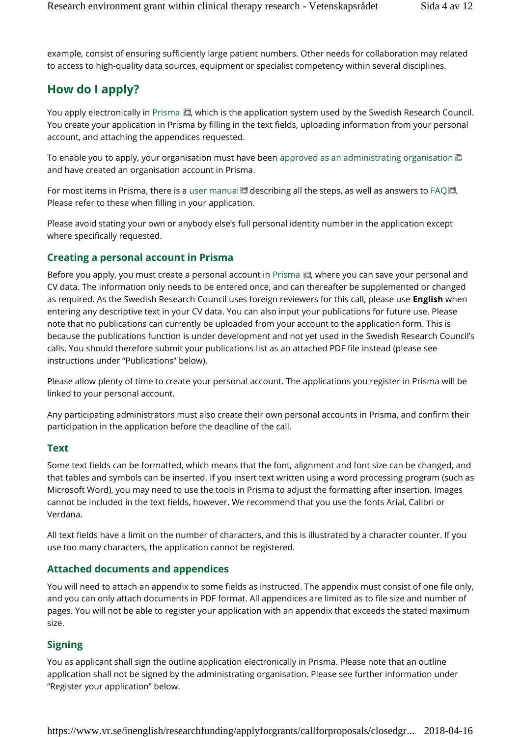example, consist of ensuring sufficiently large patient numbers. Other needs for collaboration may related to access to high-quality data sources, equipment or specialist competency within several disciplines.

# **How do I apply?**

You apply electronically in Prisma  $\Box$ , which is the application system used by the Swedish Research Council. You create your application in Prisma by filling in the text fields, uploading information from your personal account, and attaching the appendices requested.

To enable you to apply, your organisation must have been approved as an administrating organisation  $\Box$ and have created an organisation account in Prisma.

For most items in Prisma, there is a user manual  $\blacksquare$  describing all the steps, as well as answers to FAQ $\blacksquare$ . Please refer to these when filling in your application.

Please avoid stating your own or anybody else's full personal identity number in the application except where specifically requested.

## **Creating a personal account in Prisma**

Before you apply, you must create a personal account in Prisma  $\blacksquare$ , where you can save your personal and CV data. The information only needs to be entered once, and can thereafter be supplemented or changed as required. As the Swedish Research Council uses foreign reviewers for this call, please use **English** when entering any descriptive text in your CV data. You can also input your publications for future use. Please note that no publications can currently be uploaded from your account to the application form. This is because the publications function is under development and not yet used in the Swedish Research Council's calls. You should therefore submit your publications list as an attached PDF file instead (please see instructions under "Publications" below).

Please allow plenty of time to create your personal account. The applications you register in Prisma will be linked to your personal account.

Any participating administrators must also create their own personal accounts in Prisma, and confirm their participation in the application before the deadline of the call.

#### **Text**

Some text fields can be formatted, which means that the font, alignment and font size can be changed, and that tables and symbols can be inserted. If you insert text written using a word processing program (such as Microsoft Word), you may need to use the tools in Prisma to adjust the formatting after insertion. Images cannot be included in the text fields, however. We recommend that you use the fonts Arial, Calibri or Verdana.

All text fields have a limit on the number of characters, and this is illustrated by a character counter. If you use too many characters, the application cannot be registered.

## **Attached documents and appendices**

You will need to attach an appendix to some fields as instructed. The appendix must consist of one file only, and you can only attach documents in PDF format. All appendices are limited as to file size and number of pages. You will not be able to register your application with an appendix that exceeds the stated maximum size.

## **Signing**

You as applicant shall sign the outline application electronically in Prisma. Please note that an outline application shall not be signed by the administrating organisation. Please see further information under "Register your application" below.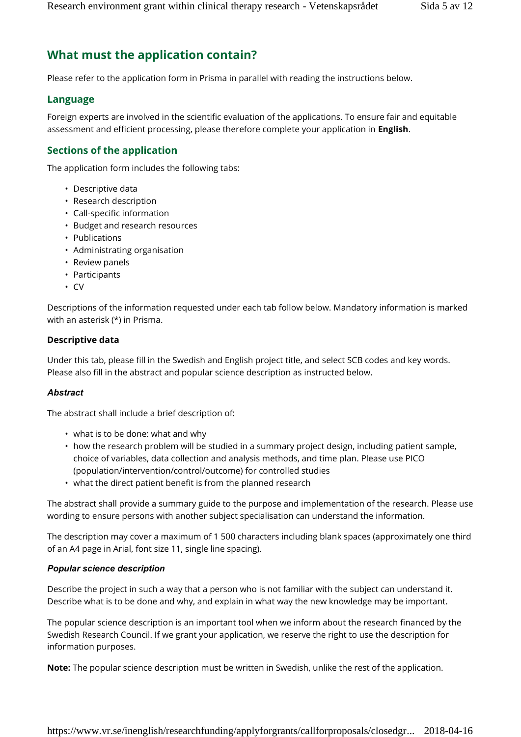# **What must the application contain?**

Please refer to the application form in Prisma in parallel with reading the instructions below.

### **Language**

Foreign experts are involved in the scientific evaluation of the applications. To ensure fair and equitable assessment and efficient processing, please therefore complete your application in **English**.

## **Sections of the application**

The application form includes the following tabs:

- Descriptive data
- Research description
- Call-specific information
- Budget and research resources
- Publications
- Administrating organisation
- Review panels
- Participants
- CV

Descriptions of the information requested under each tab follow below. Mandatory information is marked with an asterisk (\*) in Prisma.

#### **Descriptive data**

Under this tab, please fill in the Swedish and English project title, and select SCB codes and key words. Please also fill in the abstract and popular science description as instructed below.

#### *Abstract*

The abstract shall include a brief description of:

- what is to be done: what and why
- how the research problem will be studied in a summary project design, including patient sample, choice of variables, data collection and analysis methods, and time plan. Please use PICO (population/intervention/control/outcome) for controlled studies
- what the direct patient benefit is from the planned research

The abstract shall provide a summary guide to the purpose and implementation of the research. Please use wording to ensure persons with another subject specialisation can understand the information.

The description may cover a maximum of 1 500 characters including blank spaces (approximately one third of an A4 page in Arial, font size 11, single line spacing).

#### *Popular science description*

Describe the project in such a way that a person who is not familiar with the subject can understand it. Describe what is to be done and why, and explain in what way the new knowledge may be important.

The popular science description is an important tool when we inform about the research financed by the Swedish Research Council. If we grant your application, we reserve the right to use the description for information purposes.

**Note:** The popular science description must be written in Swedish, unlike the rest of the application.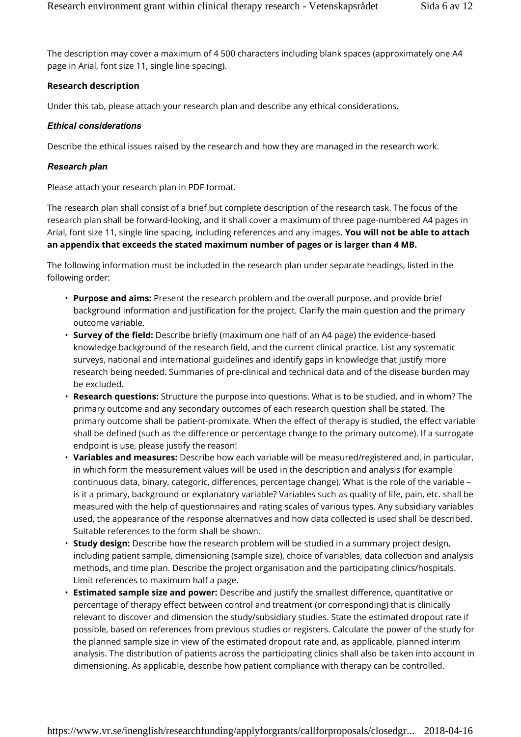The description may cover a maximum of 4 500 characters including blank spaces (approximately one A4 page in Arial, font size 11, single line spacing).

#### **Research description**

Under this tab, please attach your research plan and describe any ethical considerations.

#### *Ethical considerations*

Describe the ethical issues raised by the research and how they are managed in the research work.

#### *Research plan*

Please attach your research plan in PDF format.

The research plan shall consist of a brief but complete description of the research task. The focus of the research plan shall be forward-looking, and it shall cover a maximum of three page-numbered A4 pages in Arial, font size 11, single line spacing, including references and any images. **You will not be able to attach an appendix that exceeds the stated maximum number of pages or is larger than 4 MB.**

The following information must be included in the research plan under separate headings, listed in the following order:

- **Purpose and aims:** Present the research problem and the overall purpose, and provide brief background information and justification for the project. Clarify the main question and the primary outcome variable.
- **Survey of the field:** Describe briefly (maximum one half of an A4 page) the evidence-based knowledge background of the research field, and the current clinical practice. List any systematic surveys, national and international guidelines and identify gaps in knowledge that justify more research being needed. Summaries of pre-clinical and technical data and of the disease burden may be excluded.
- **Research questions:** Structure the purpose into questions. What is to be studied, and in whom? The primary outcome and any secondary outcomes of each research question shall be stated. The primary outcome shall be patient-promixate. When the effect of therapy is studied, the effect variable shall be defined (such as the difference or percentage change to the primary outcome). If a surrogate endpoint is use, please justify the reason!
- **Variables and measures:** Describe how each variable will be measured/registered and, in particular, in which form the measurement values will be used in the description and analysis (for example continuous data, binary, categoric, differences, percentage change). What is the role of the variable – is it a primary, background or explanatory variable? Variables such as quality of life, pain, etc. shall be measured with the help of questionnaires and rating scales of various types. Any subsidiary variables used, the appearance of the response alternatives and how data collected is used shall be described. Suitable references to the form shall be shown.
- **Study design:** Describe how the research problem will be studied in a summary project design, including patient sample, dimensioning (sample size), choice of variables, data collection and analysis methods, and time plan. Describe the project organisation and the participating clinics/hospitals. Limit references to maximum half a page.
- **Estimated sample size and power:** Describe and justify the smallest difference, quantitative or percentage of therapy effect between control and treatment (or corresponding) that is clinically relevant to discover and dimension the study/subsidiary studies. State the estimated dropout rate if possible, based on references from previous studies or registers. Calculate the power of the study for the planned sample size in view of the estimated dropout rate and, as applicable, planned interim analysis. The distribution of patients across the participating clinics shall also be taken into account in dimensioning. As applicable, describe how patient compliance with therapy can be controlled.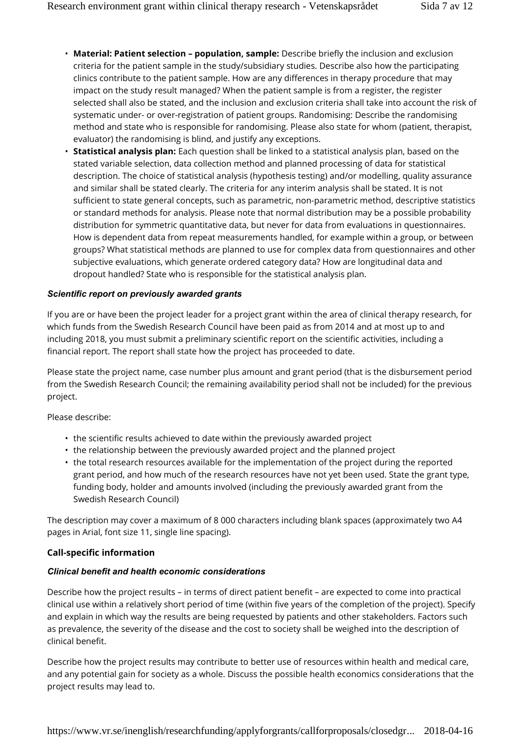- **Material: Patient selection population, sample:** Describe briefly the inclusion and exclusion criteria for the patient sample in the study/subsidiary studies. Describe also how the participating clinics contribute to the patient sample. How are any differences in therapy procedure that may impact on the study result managed? When the patient sample is from a register, the register selected shall also be stated, and the inclusion and exclusion criteria shall take into account the risk of systematic under- or over-registration of patient groups. Randomising: Describe the randomising method and state who is responsible for randomising. Please also state for whom (patient, therapist, evaluator) the randomising is blind, and justify any exceptions.
- **Statistical analysis plan:** Each question shall be linked to a statistical analysis plan, based on the stated variable selection, data collection method and planned processing of data for statistical description. The choice of statistical analysis (hypothesis testing) and/or modelling, quality assurance and similar shall be stated clearly. The criteria for any interim analysis shall be stated. It is not sufficient to state general concepts, such as parametric, non-parametric method, descriptive statistics or standard methods for analysis. Please note that normal distribution may be a possible probability distribution for symmetric quantitative data, but never for data from evaluations in questionnaires. How is dependent data from repeat measurements handled, for example within a group, or between groups? What statistical methods are planned to use for complex data from questionnaires and other subjective evaluations, which generate ordered category data? How are longitudinal data and dropout handled? State who is responsible for the statistical analysis plan.

#### *Scientific report on previously awarded grants*

If you are or have been the project leader for a project grant within the area of clinical therapy research, for which funds from the Swedish Research Council have been paid as from 2014 and at most up to and including 2018, you must submit a preliminary scientific report on the scientific activities, including a financial report. The report shall state how the project has proceeded to date.

Please state the project name, case number plus amount and grant period (that is the disbursement period from the Swedish Research Council; the remaining availability period shall not be included) for the previous project.

Please describe:

- the scientific results achieved to date within the previously awarded project
- the relationship between the previously awarded project and the planned project
- the total research resources available for the implementation of the project during the reported grant period, and how much of the research resources have not yet been used. State the grant type, funding body, holder and amounts involved (including the previously awarded grant from the Swedish Research Council)

The description may cover a maximum of 8 000 characters including blank spaces (approximately two A4 pages in Arial, font size 11, single line spacing).

#### **Call-specific information**

#### *Clinical benefit and health economic considerations*

Describe how the project results – in terms of direct patient benefit – are expected to come into practical clinical use within a relatively short period of time (within five years of the completion of the project). Specify and explain in which way the results are being requested by patients and other stakeholders. Factors such as prevalence, the severity of the disease and the cost to society shall be weighed into the description of clinical benefit.

Describe how the project results may contribute to better use of resources within health and medical care, and any potential gain for society as a whole. Discuss the possible health economics considerations that the project results may lead to.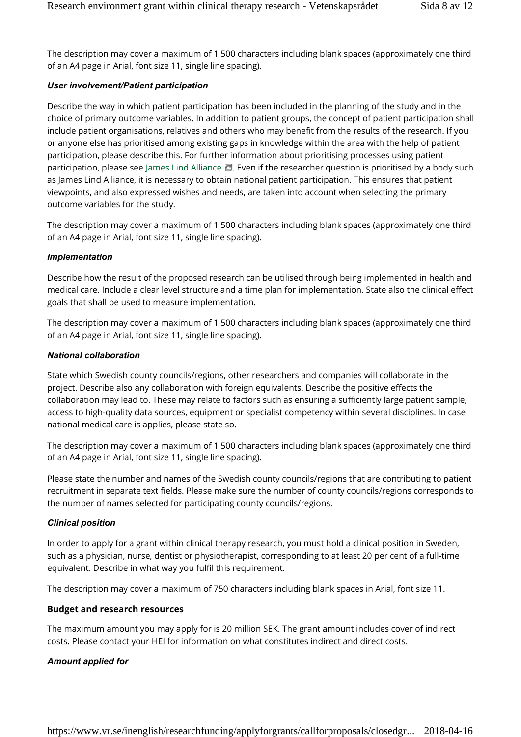The description may cover a maximum of 1 500 characters including blank spaces (approximately one third of an A4 page in Arial, font size 11, single line spacing).

#### *User involvement/Patient participation*

Describe the way in which patient participation has been included in the planning of the study and in the choice of primary outcome variables. In addition to patient groups, the concept of patient participation shall include patient organisations, relatives and others who may benefit from the results of the research. If you or anyone else has prioritised among existing gaps in knowledge within the area with the help of patient participation, please describe this. For further information about prioritising processes using patient participation, please see James Lind Alliance . Even if the researcher question is prioritised by a body such as James Lind Alliance, it is necessary to obtain national patient participation. This ensures that patient viewpoints, and also expressed wishes and needs, are taken into account when selecting the primary outcome variables for the study.

The description may cover a maximum of 1 500 characters including blank spaces (approximately one third of an A4 page in Arial, font size 11, single line spacing).

#### *Implementation*

Describe how the result of the proposed research can be utilised through being implemented in health and medical care. Include a clear level structure and a time plan for implementation. State also the clinical effect goals that shall be used to measure implementation.

The description may cover a maximum of 1 500 characters including blank spaces (approximately one third of an A4 page in Arial, font size 11, single line spacing).

#### *National collaboration*

State which Swedish county councils/regions, other researchers and companies will collaborate in the project. Describe also any collaboration with foreign equivalents. Describe the positive effects the collaboration may lead to. These may relate to factors such as ensuring a sufficiently large patient sample, access to high-quality data sources, equipment or specialist competency within several disciplines. In case national medical care is applies, please state so.

The description may cover a maximum of 1 500 characters including blank spaces (approximately one third of an A4 page in Arial, font size 11, single line spacing).

Please state the number and names of the Swedish county councils/regions that are contributing to patient recruitment in separate text fields. Please make sure the number of county councils/regions corresponds to the number of names selected for participating county councils/regions.

#### *Clinical position*

In order to apply for a grant within clinical therapy research, you must hold a clinical position in Sweden, such as a physician, nurse, dentist or physiotherapist, corresponding to at least 20 per cent of a full-time equivalent. Describe in what way you fulfil this requirement.

The description may cover a maximum of 750 characters including blank spaces in Arial, font size 11.

#### **Budget and research resources**

The maximum amount you may apply for is 20 million SEK. The grant amount includes cover of indirect costs. Please contact your HEI for information on what constitutes indirect and direct costs.

#### *Amount applied for*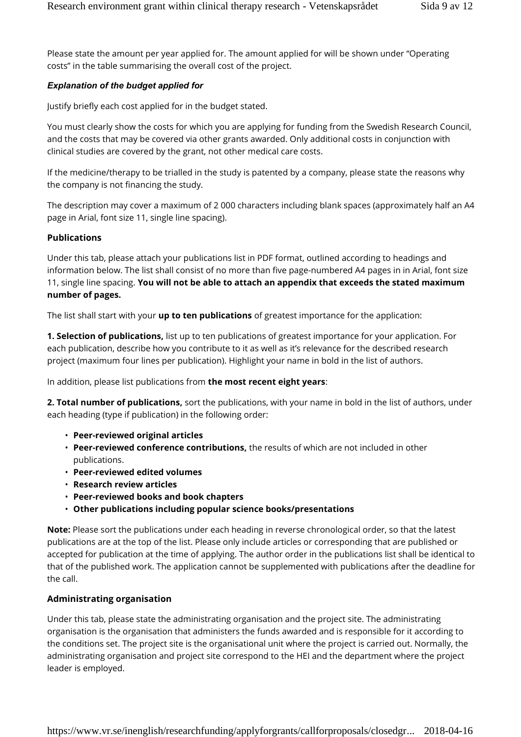Please state the amount per year applied for. The amount applied for will be shown under "Operating costs" in the table summarising the overall cost of the project.

## *Explanation of the budget applied for*

Justify briefly each cost applied for in the budget stated.

You must clearly show the costs for which you are applying for funding from the Swedish Research Council, and the costs that may be covered via other grants awarded. Only additional costs in conjunction with clinical studies are covered by the grant, not other medical care costs.

If the medicine/therapy to be trialled in the study is patented by a company, please state the reasons why the company is not financing the study.

The description may cover a maximum of 2 000 characters including blank spaces (approximately half an A4 page in Arial, font size 11, single line spacing).

### **Publications**

Under this tab, please attach your publications list in PDF format, outlined according to headings and information below. The list shall consist of no more than five page-numbered A4 pages in in Arial, font size 11, single line spacing. **You will not be able to attach an appendix that exceeds the stated maximum number of pages.**

The list shall start with your **up to ten publications** of greatest importance for the application:

**1. Selection of publications,** list up to ten publications of greatest importance for your application. For each publication, describe how you contribute to it as well as it's relevance for the described research project (maximum four lines per publication). Highlight your name in bold in the list of authors.

In addition, please list publications from **the most recent eight years**:

**2. Total number of publications,** sort the publications, with your name in bold in the list of authors, under each heading (type if publication) in the following order:

- **Peer-reviewed original articles**
- **Peer-reviewed conference contributions,** the results of which are not included in other publications.
- **Peer-reviewed edited volumes**
- **Research review articles**
- **Peer-reviewed books and book chapters**
- **Other publications including popular science books/presentations**

**Note:** Please sort the publications under each heading in reverse chronological order, so that the latest publications are at the top of the list. Please only include articles or corresponding that are published or accepted for publication at the time of applying. The author order in the publications list shall be identical to that of the published work. The application cannot be supplemented with publications after the deadline for the call.

## **Administrating organisation**

Under this tab, please state the administrating organisation and the project site. The administrating organisation is the organisation that administers the funds awarded and is responsible for it according to the conditions set. The project site is the organisational unit where the project is carried out. Normally, the administrating organisation and project site correspond to the HEI and the department where the project leader is employed.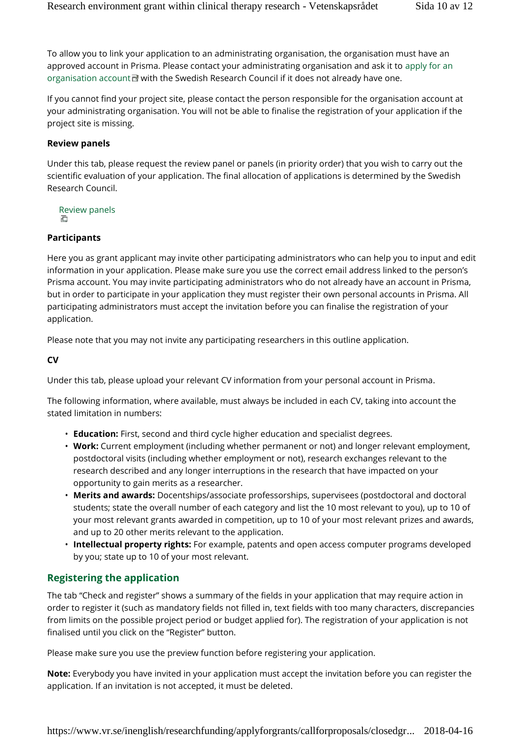To allow you to link your application to an administrating organisation, the organisation must have an approved account in Prisma. Please contact your administrating organisation and ask it to apply for an organisation account  $\mathbb F$  with the Swedish Research Council if it does not already have one.

If you cannot find your project site, please contact the person responsible for the organisation account at your administrating organisation. You will not be able to finalise the registration of your application if the project site is missing.

#### **Review panels**

Under this tab, please request the review panel or panels (in priority order) that you wish to carry out the scientific evaluation of your application. The final allocation of applications is determined by the Swedish Research Council.

Review panels

#### **Participants**

Here you as grant applicant may invite other participating administrators who can help you to input and edit information in your application. Please make sure you use the correct email address linked to the person's Prisma account. You may invite participating administrators who do not already have an account in Prisma, but in order to participate in your application they must register their own personal accounts in Prisma. All participating administrators must accept the invitation before you can finalise the registration of your application.

Please note that you may not invite any participating researchers in this outline application.

**CV**

Under this tab, please upload your relevant CV information from your personal account in Prisma.

The following information, where available, must always be included in each CV, taking into account the stated limitation in numbers:

- **Education:** First, second and third cycle higher education and specialist degrees.
- **Work:** Current employment (including whether permanent or not) and longer relevant employment, postdoctoral visits (including whether employment or not), research exchanges relevant to the research described and any longer interruptions in the research that have impacted on your opportunity to gain merits as a researcher.
- **Merits and awards:** Docentships/associate professorships, supervisees (postdoctoral and doctoral students; state the overall number of each category and list the 10 most relevant to you), up to 10 of your most relevant grants awarded in competition, up to 10 of your most relevant prizes and awards, and up to 20 other merits relevant to the application.
- **Intellectual property rights:** For example, patents and open access computer programs developed by you; state up to 10 of your most relevant.

## **Registering the application**

The tab "Check and register" shows a summary of the fields in your application that may require action in order to register it (such as mandatory fields not filled in, text fields with too many characters, discrepancies from limits on the possible project period or budget applied for). The registration of your application is not finalised until you click on the "Register" button.

Please make sure you use the preview function before registering your application.

**Note:** Everybody you have invited in your application must accept the invitation before you can register the application. If an invitation is not accepted, it must be deleted.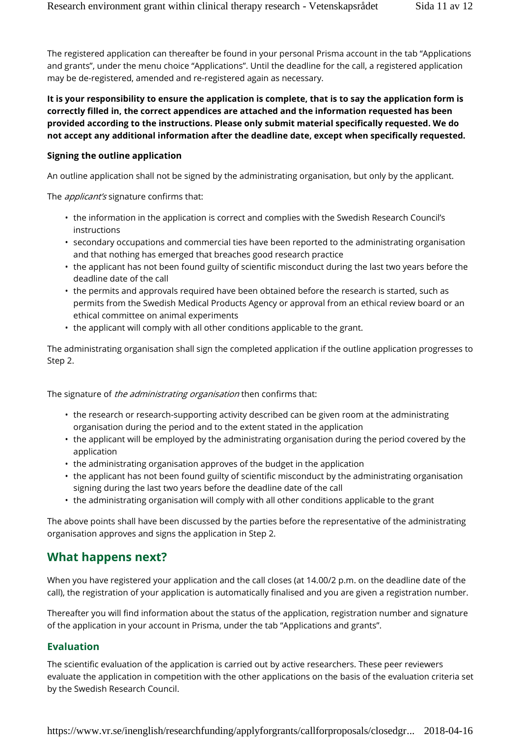The registered application can thereafter be found in your personal Prisma account in the tab "Applications and grants", under the menu choice "Applications". Until the deadline for the call, a registered application may be de-registered, amended and re-registered again as necessary.

**It is your responsibility to ensure the application is complete, that is to say the application form is correctly filled in, the correct appendices are attached and the information requested has been provided according to the instructions. Please only submit material specifically requested. We do not accept any additional information after the deadline date, except when specifically requested.**

#### **Signing the outline application**

An outline application shall not be signed by the administrating organisation, but only by the applicant.

The *applicant's* signature confirms that:

- the information in the application is correct and complies with the Swedish Research Council's instructions
- secondary occupations and commercial ties have been reported to the administrating organisation and that nothing has emerged that breaches good research practice
- the applicant has not been found guilty of scientific misconduct during the last two years before the deadline date of the call
- the permits and approvals required have been obtained before the research is started, such as permits from the Swedish Medical Products Agency or approval from an ethical review board or an ethical committee on animal experiments
- the applicant will comply with all other conditions applicable to the grant.

The administrating organisation shall sign the completed application if the outline application progresses to Step 2.

The signature of *the administrating organisation* then confirms that:

- the research or research-supporting activity described can be given room at the administrating organisation during the period and to the extent stated in the application
- the applicant will be employed by the administrating organisation during the period covered by the application
- the administrating organisation approves of the budget in the application
- the applicant has not been found guilty of scientific misconduct by the administrating organisation signing during the last two years before the deadline date of the call
- the administrating organisation will comply with all other conditions applicable to the grant

The above points shall have been discussed by the parties before the representative of the administrating organisation approves and signs the application in Step 2.

## **What happens next?**

When you have registered your application and the call closes (at 14.00/2 p.m. on the deadline date of the call), the registration of your application is automatically finalised and you are given a registration number.

Thereafter you will find information about the status of the application, registration number and signature of the application in your account in Prisma, under the tab "Applications and grants".

## **Evaluation**

The scientific evaluation of the application is carried out by active researchers. These peer reviewers evaluate the application in competition with the other applications on the basis of the evaluation criteria set by the Swedish Research Council.